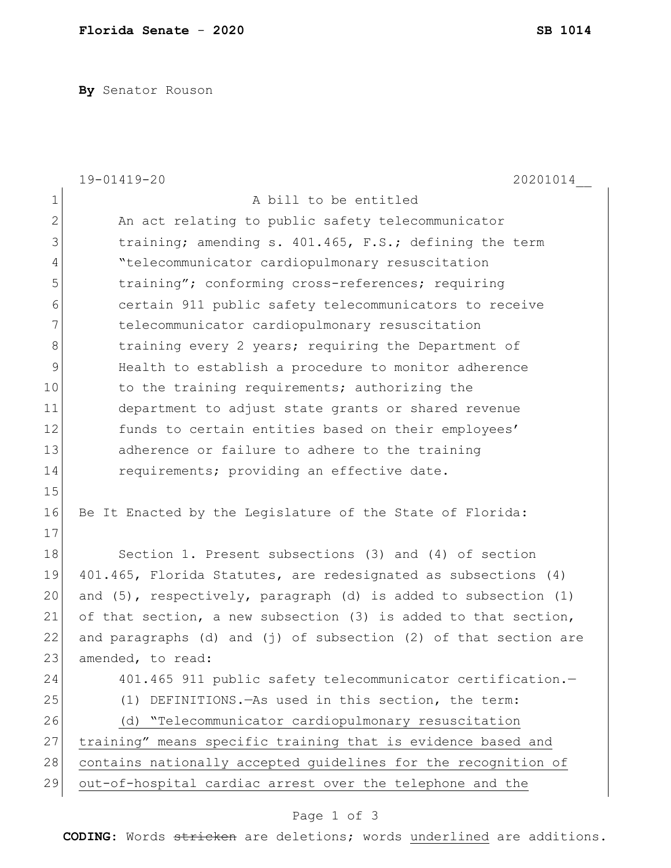**By** Senator Rouson

|                | 19-01419-20<br>20201014                                                |
|----------------|------------------------------------------------------------------------|
| $\mathbf 1$    | A bill to be entitled                                                  |
| $\overline{2}$ | An act relating to public safety telecommunicator                      |
| 3              | training; amending s. 401.465, F.S.; defining the term                 |
| 4              | "telecommunicator cardiopulmonary resuscitation                        |
| 5              | training"; conforming cross-references; requiring                      |
| 6              | certain 911 public safety telecommunicators to receive                 |
| 7              | telecommunicator cardiopulmonary resuscitation                         |
| 8              | training every 2 years; requiring the Department of                    |
| 9              | Health to establish a procedure to monitor adherence                   |
| 10             | to the training requirements; authorizing the                          |
| 11             | department to adjust state grants or shared revenue                    |
| 12             | funds to certain entities based on their employees'                    |
| 13             | adherence or failure to adhere to the training                         |
| 14             | requirements; providing an effective date.                             |
| 15             |                                                                        |
| 16             | Be It Enacted by the Legislature of the State of Florida:              |
| 17             |                                                                        |
| 18             | Section 1. Present subsections (3) and (4) of section                  |
| 19             | 401.465, Florida Statutes, are redesignated as subsections (4)         |
| 20             | and $(5)$ , respectively, paragraph $(d)$ is added to subsection $(1)$ |
| 21             | of that section, a new subsection (3) is added to that section,        |
| 22             | and paragraphs (d) and (j) of subsection (2) of that section are       |
| 23             | amended, to read:                                                      |
| 24             | 401.465 911 public safety telecommunicator certification.-             |
| 25             | DEFINITIONS. - As used in this section, the term:<br>(1)               |
| 26             | "Telecommunicator cardiopulmonary resuscitation<br>(d)                 |
| 27             | training" means specific training that is evidence based and           |
| 28             | contains nationally accepted guidelines for the recognition of         |
| 29             | out-of-hospital cardiac arrest over the telephone and the              |
|                |                                                                        |

**CODING**: Words stricken are deletions; words underlined are additions.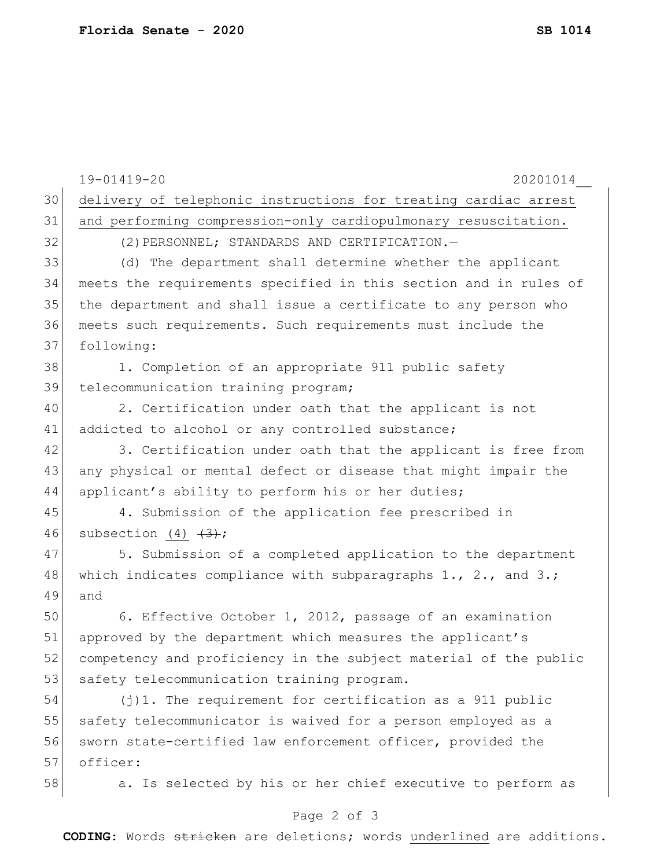|    | 19-01419-20<br>20201014                                           |
|----|-------------------------------------------------------------------|
| 30 | delivery of telephonic instructions for treating cardiac arrest   |
| 31 | and performing compression-only cardiopulmonary resuscitation.    |
| 32 | (2) PERSONNEL; STANDARDS AND CERTIFICATION.-                      |
| 33 | (d) The department shall determine whether the applicant          |
| 34 | meets the requirements specified in this section and in rules of  |
| 35 | the department and shall issue a certificate to any person who    |
| 36 | meets such requirements. Such requirements must include the       |
| 37 | following:                                                        |
| 38 | 1. Completion of an appropriate 911 public safety                 |
| 39 | telecommunication training program;                               |
| 40 | 2. Certification under oath that the applicant is not             |
| 41 | addicted to alcohol or any controlled substance;                  |
| 42 | 3. Certification under oath that the applicant is free from       |
| 43 | any physical or mental defect or disease that might impair the    |
| 44 | applicant's ability to perform his or her duties;                 |
| 45 | 4. Submission of the application fee prescribed in                |
| 46 | subsection (4) $\left(\frac{3}{2}\right)$ ;                       |
| 47 | 5. Submission of a completed application to the department        |
| 48 | which indicates compliance with subparagraphs $1., 2.,$ and $3.;$ |
| 49 | and                                                               |
| 50 | 6. Effective October 1, 2012, passage of an examination           |
| 51 | approved by the department which measures the applicant's         |
| 52 | competency and proficiency in the subject material of the public  |
| 53 | safety telecommunication training program.                        |
| 54 | $(j)$ 1. The requirement for certification as a 911 public        |
| 55 | safety telecommunicator is waived for a person employed as a      |
| 56 | sworn state-certified law enforcement officer, provided the       |
| 57 | officer:                                                          |
| 58 | a. Is selected by his or her chief executive to perform as        |
|    | Page 2 of 3                                                       |

**CODING**: Words stricken are deletions; words underlined are additions.